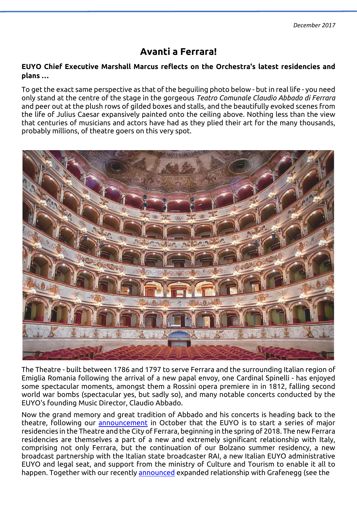# **Avanti a Ferrara!**

### **EUYO Chief Executive Marshall Marcus reflects on the Orchestra's latest residencies and plans …**

To get the exact same perspective as that of the beguiling photo below - but in real life - you need only stand at the centre of the stage in the gorgeous *Teatro Comunale Claudio Abbado di Ferrara* and peer out at the plush rows of gilded boxes and stalls, and the beautifully evoked scenes from the life of Julius Caesar expansively painted onto the ceiling above. Nothing less than the view that centuries of musicians and actors have had as they plied their art for the many thousands, probably millions, of theatre goers on this very spot.



The Theatre - built between 1786 and 1797 to serve Ferrara and the surrounding Italian region of Emiglia Romania following the arrival of a new papal envoy, one Cardinal Spinelli - has enjoyed some spectacular moments, amongst them a Rossini opera premiere in in 1812, falling second world war bombs (spectacular yes, but sadly so), and many notable concerts conducted by the EUYO's founding Music Director, Claudio Abbado.

Now the grand memory and great tradition of Abbado and his concerts is heading back to the theatre, following our [announcement](http://www.euyo.eu/media/news/announcing-a-new-future/) in October that the EUYO is to start a series of major residencies in the Theatre and the City of Ferrara, beginning in the spring of 2018. The new Ferrara residencies are themselves a part of a new and extremely significant relationship with Italy, comprising not only Ferrara, but the continuation of our Bolzano summer residency, a new broadcast partnership with the Italian state broadcaster RAI, a new Italian EUYO administrative EUYO and legal seat, and support from the ministry of Culture and Tourism to enable it all to happen. Together with our recently [announced](http://www.euyo.eu/media/news/euyo-to-expand-partnership-with-principal-venue-partner-grafenegg-from-2018/) expanded relationship with Grafenegg (see the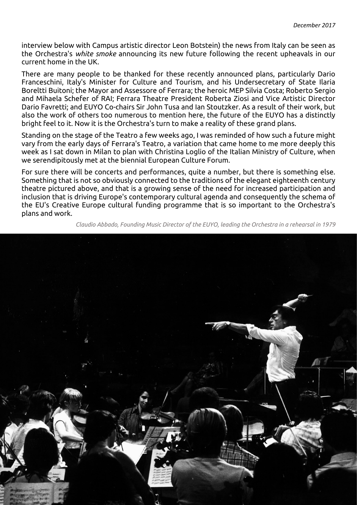interview below with Campus artistic director Leon Botstein) the news from Italy can be seen as the Orchestra's *white smoke* announcing its new future following the recent upheavals in our current home in the UK*.*

There are many people to be thanked for these recently announced plans, particularly Dario Franceschini, Italy's Minister for Culture and Tourism, and his Undersecretary of State Ilaria Boreltti Buitoni; the Mayor and Assessore of Ferrara; the heroic MEP Silvia Costa; Roberto Sergio and Mihaela Schefer of RAI; Ferrara Theatre President Roberta Ziosi and Vice Artistic Director Dario Favretti; and EUYO Co-chairs Sir John Tusa and Ian Stoutzker. As a result of their work, but also the work of others too numerous to mention here, the future of the EUYO has a distinctly bright feel to it. Now it is the Orchestra's turn to make a reality of these grand plans.

Standing on the stage of the Teatro a few weeks ago, I was reminded of how such a future might vary from the early days of Ferrara's Teatro, a variation that came home to me more deeply this week as I sat down in Milan to plan with Christina Loglio of the Italian Ministry of Culture, when we serendipitously met at the biennial European Culture Forum.

For sure there will be concerts and performances, quite a number, but there is something else. Something that is not so obviously connected to the traditions of the elegant eighteenth century theatre pictured above, and that is a growing sense of the need for increased participation and inclusion that is driving Europe's contemporary cultural agenda and consequently the schema of the EU's Creative Europe cultural funding programme that is so important to the Orchestra's plans and work.

*Claudio Abbado, Founding Music Director of the EUYO, leading the Orchestra in a rehearsal in 1979*